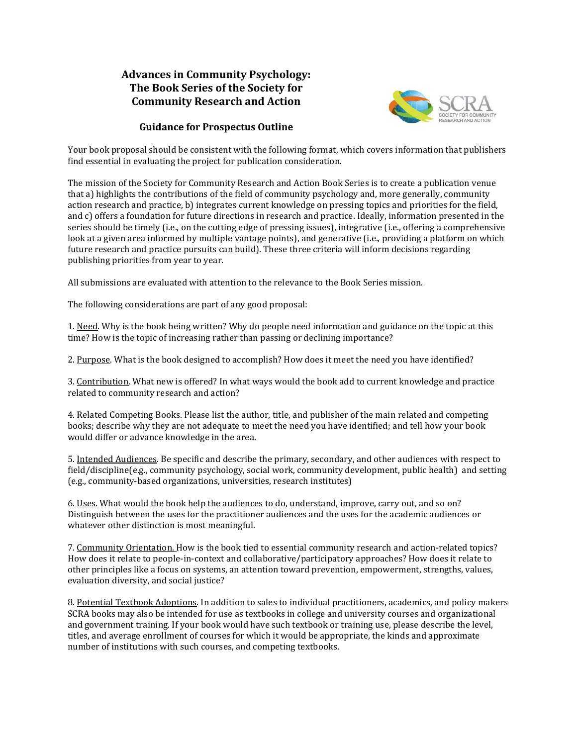## **Advances in Community Psychology: The Book Series of the Society for Community Research and Action**



## **Guidance for Prospectus Outline**

Your book proposal should be consistent with the following format, which covers information that publishers find essential in evaluating the project for publication consideration.

The mission of the Society for Community Research and Action Book Series is to create a publication venue that a) highlights the contributions of the field of community psychology and, more generally, community action research and practice, b) integrates current knowledge on pressing topics and priorities for the field, and c) offers a foundation for future directions in research and practice. Ideally, information presented in the series should be timely (i.e., on the cutting edge of pressing issues), integrative (i.e., offering a comprehensive look at a given area informed by multiple vantage points), and generative (i.e., providing a platform on which future research and practice pursuits can build). These three criteria will inform decisions regarding publishing priorities from year to year.

All submissions are evaluated with attention to the relevance to the Book Series mission.

The following considerations are part of any good proposal:

1. Need. Why is the book being written? Why do people need information and guidance on the topic at this time? How is the topic of increasing rather than passing or declining importance?

2. Purpose. What is the book designed to accomplish? How does it meet the need you have identified?

3. Contribution. What new is offered? In what ways would the book add to current knowledge and practice related to community research and action?

4. Related Competing Books. Please list the author, title, and publisher of the main related and competing books; describe why they are not adequate to meet the need you have identified; and tell how your book would differ or advance knowledge in the area.

5. Intended Audiences. Be specific and describe the primary, secondary, and other audiences with respect to field/discipline(e.g., community psychology, social work, community development, public health) and setting (e.g., community-based organizations, universities, research institutes)

6. Uses. What would the book help the audiences to do, understand, improve, carry out, and so on? Distinguish between the uses for the practitioner audiences and the uses for the academic audiences or whatever other distinction is most meaningful.

7. Community Orientation. How is the book tied to essential community research and action-related topics? How does it relate to people-in-context and collaborative/participatory approaches? How does it relate to other principles like a focus on systems, an attention toward prevention, empowerment, strengths, values, evaluation diversity, and social justice?

8. Potential Textbook Adoptions. In addition to sales to individual practitioners, academics, and policy makers SCRA books may also be intended for use as textbooks in college and university courses and organizational and government training. If your book would have such textbook or training use, please describe the level, titles, and average enrollment of courses for which it would be appropriate, the kinds and approximate number of institutions with such courses, and competing textbooks.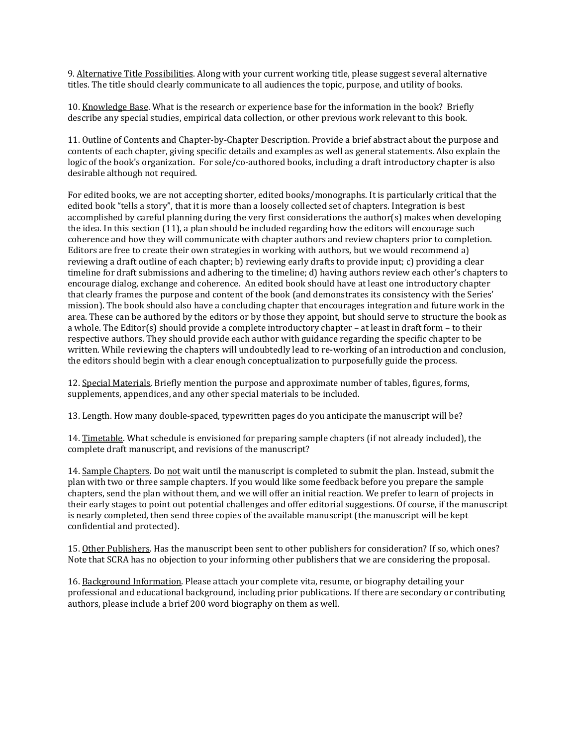9. Alternative Title Possibilities. Along with your current working title, please suggest several alternative titles. The title should clearly communicate to all audiences the topic, purpose, and utility of books.

10. Knowledge Base. What is the research or experience base for the information in the book? Briefly describe any special studies, empirical data collection, or other previous work relevant to this book.

11. Outline of Contents and Chapter-by-Chapter Description. Provide a brief abstract about the purpose and contents of each chapter, giving specific details and examples as well as general statements. Also explain the logic of the book's organization. For sole/co-authored books, including a draft introductory chapter is also desirable although not required.

For edited books, we are not accepting shorter, edited books/monographs. It is particularly critical that the edited book "tells a story", that it is more than a loosely collected set of chapters. Integration is best accomplished by careful planning during the very first considerations the author(s) makes when developing the idea. In this section (11), a plan should be included regarding how the editors will encourage such coherence and how they will communicate with chapter authors and review chapters prior to completion. Editors are free to create their own strategies in working with authors, but we would recommend a) reviewing a draft outline of each chapter; b) reviewing early drafts to provide input; c) providing a clear timeline for draft submissions and adhering to the timeline; d) having authors review each other's chapters to encourage dialog, exchange and coherence. An edited book should have at least one introductory chapter that clearly frames the purpose and content of the book (and demonstrates its consistency with the Series' mission). The book should also have a concluding chapter that encourages integration and future work in the area. These can be authored by the editors or by those they appoint, but should serve to structure the book as a whole. The Editor(s) should provide a complete introductory chapter – at least in draft form – to their respective authors. They should provide each author with guidance regarding the specific chapter to be written. While reviewing the chapters will undoubtedly lead to re-working of an introduction and conclusion, the editors should begin with a clear enough conceptualization to purposefully guide the process.

12. Special Materials. Briefly mention the purpose and approximate number of tables, figures, forms, supplements, appendices, and any other special materials to be included.

13. Length. How many double-spaced, typewritten pages do you anticipate the manuscript will be?

14. Timetable. What schedule is envisioned for preparing sample chapters (if not already included), the complete draft manuscript, and revisions of the manuscript?

14. Sample Chapters. Do not wait until the manuscript is completed to submit the plan. Instead, submit the plan with two or three sample chapters. If you would like some feedback before you prepare the sample chapters, send the plan without them, and we will offer an initial reaction. We prefer to learn of projects in their early stages to point out potential challenges and offer editorial suggestions. Of course, if the manuscript is nearly completed, then send three copies of the available manuscript (the manuscript will be kept confidential and protected).

15. Other Publishers. Has the manuscript been sent to other publishers for consideration? If so, which ones? Note that SCRA has no objection to your informing other publishers that we are considering the proposal.

16. Background Information. Please attach your complete vita, resume, or biography detailing your professional and educational background, including prior publications. If there are secondary or contributing authors, please include a brief 200 word biography on them as well.